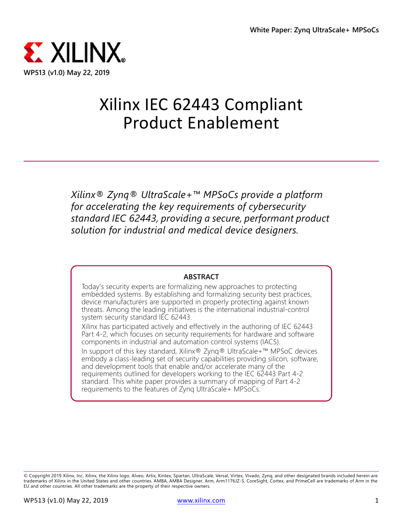

# Xilinx IEC 62443 Compliant Product Enablement

*Xilinx® Zynq® UltraScale+™ MPSoCs provide a platform for accelerating the key requirements of cybersecurity standard IEC 62443, providing a secure, performant product solution for industrial and medical device designers.*

#### **ABSTRACT**

Today's security experts are formalizing new approaches to protecting embedded systems. By establishing and formalizing security best practices, device manufacturers are supported in properly protecting against known threats. Among the leading initiatives is the international industrial-control system security standard IEC 62443.

Xilinx has participated actively and effectively in the authoring of IEC 62443 Part 4-2, which focuses on security requirements for hardware and software components in industrial and automation control systems (IACS).

In support of this key standard, Xilinx® Zynq® UltraScale+™ MPSoC devices embody a class-leading set of security capabilities providing silicon, software, and development tools that enable and/or accelerate many of the requirements outlined for developers working to the IEC 62443 Part 4-2 standard. This white paper provides a summary of mapping of Part 4-2 requirements to the features of Zynq UltraScale+ MPSoCs.

© Copyright 2019 Xilinx, Inc. Xilinx, the Xilinx logo, Alveo, Artix, Kintex, Spartan, UltraScale, Versal, Virtex, Vivado, Zynq, and other designated brands included herein are<br>trademarks of Xilinx in the United States and EU and other countries. All other trademarks are the property of their respective owners.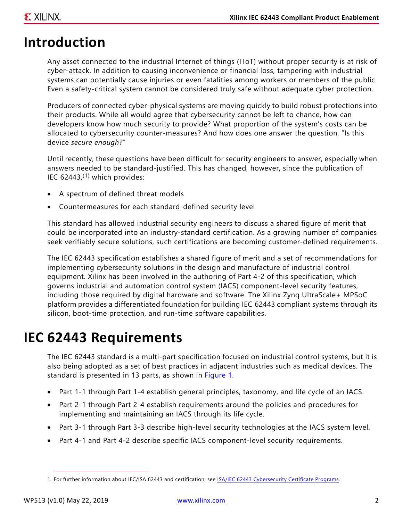# **Introduction**

Any asset connected to the industrial Internet of things (IIoT) without proper security is at risk of cyber-attack. In addition to causing inconvenience or financial loss, tampering with industrial systems can potentially cause injuries or even fatalities among workers or members of the public. Even a safety-critical system cannot be considered truly safe without adequate cyber protection.

Producers of connected cyber-physical systems are moving quickly to build robust protections into their products. While all would agree that cybersecurity cannot be left to chance, how can developers know how much security to provide? What proportion of the system's costs can be allocated to cybersecurity counter-measures? And how does one answer the question, "Is this device *secure enough?*"

Until recently, these questions have been difficult for security engineers to answer, especially when answers needed to be standard-justified. This has changed, however, since the publication of IEC  $62443<sup>(1)</sup>$  which provides:

- A spectrum of defined threat models
- Countermeasures for each standard-defined security level

This standard has allowed industrial security engineers to discuss a shared figure of merit that could be incorporated into an industry-standard certification. As a growing number of companies seek verifiably secure solutions, such certifications are becoming customer-defined requirements.

The IEC 62443 specification establishes a shared figure of merit and a set of recommendations for implementing cybersecurity solutions in the design and manufacture of industrial control equipment. Xilinx has been involved in the authoring of Part 4-2 of this specification, which governs industrial and automation control system (IACS) component-level security features, including those required by digital hardware and software. The Xilinx Zynq UltraScale+ MPSoC platform provides a differentiated foundation for building IEC 62443 compliant systems through its silicon, boot-time protection, and run-time software capabilities.

## **IEC 62443 Requirements**

The IEC 62443 standard is a multi-part specification focused on industrial control systems, but it is also being adopted as a set of best practices in adjacent industries such as medical devices. The standard is presented in 13 parts, as shown in [Figure 1.](#page-2-0)

- Part 1-1 through Part 1-4 establish general principles, taxonomy, and life cycle of an IACS.
- Part 2-1 through Part 2-4 establish requirements around the policies and procedures for implementing and maintaining an IACS through its life cycle.
- Part 3-1 through Part 3-3 describe high-level security technologies at the IACS system level.
- Part 4-1 and Part 4-2 describe specific IACS component-level security requirements.

<sup>1.</sup> For further information about IEC/ISA 62443 and certification, see [ISA/IEC 62443 Cybersecurity Certificate Programs.](https://www.isa.org/training-and-certifications/isa-certification/isa99iec-62443/isa99iec-62443-cybersecurity-certificate-programs/)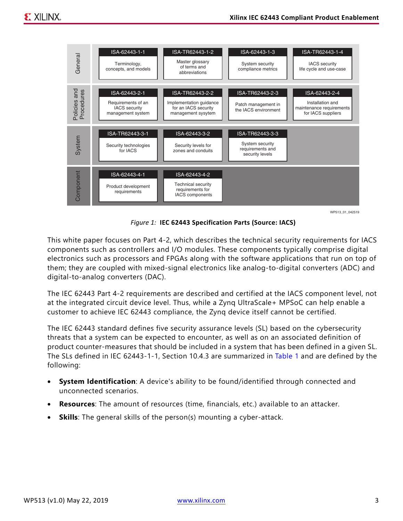<span id="page-2-0"></span>

*Figure 1:* **IEC 62443 Specification Parts (Source: IACS)**

This white paper focuses on Part 4-2, which describes the technical security requirements for IACS components such as controllers and I/O modules. These components typically comprise digital electronics such as processors and FPGAs along with the software applications that run on top of them; they are coupled with mixed-signal electronics like analog-to-digital converters (ADC) and digital-to-analog converters (DAC).

The IEC 62443 Part 4-2 requirements are described and certified at the IACS component level, not at the integrated circuit device level. Thus, while a Zynq UltraScale+ MPSoC can help enable a customer to achieve IEC 62443 compliance, the Zynq device itself cannot be certified.

The IEC 62443 standard defines five security assurance levels (SL) based on the cybersecurity threats that a system can be expected to encounter, as well as on an associated definition of product counter-measures that should be included in a system that has been defined in a given SL. The SLs defined in IEC 62443-1-1, Section 10.4.3 are summarized in [Table 1](#page-3-0) and are defined by the following:

- **System Identification**: A device's ability to be found/identified through connected and unconnected scenarios.
- **Resources**: The amount of resources (time, financials, etc.) available to an attacker.
- **Skills**: The general skills of the person(s) mounting a cyber-attack.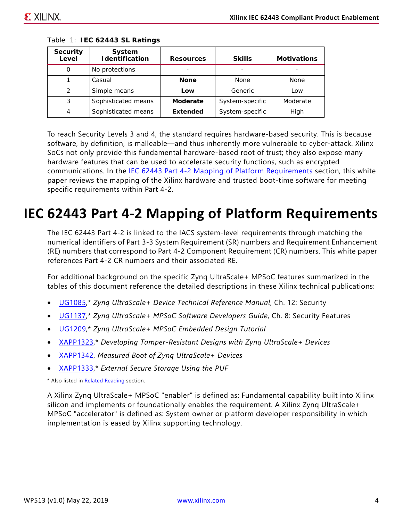| <b>Security</b><br>Level | System<br><b>I</b> dentification | <b>Resources</b> | <b>Skills</b>   | <b>Motivations</b> |
|--------------------------|----------------------------------|------------------|-----------------|--------------------|
| O                        | No protections                   |                  |                 |                    |
|                          | Casual                           | <b>None</b>      | None            | <b>None</b>        |
| 2                        | Simple means                     | Low              | Generic         | Low                |
| 3                        | Sophisticated means              | Moderate         | System-specific | Moderate           |
| 4                        | Sophisticated means              | <b>Extended</b>  | System-specific | High               |

<span id="page-3-0"></span>*Table 1:* **IEC 62443 SL Ratings**

To reach Security Levels 3 and 4, the standard requires hardware-based security. This is because software, by definition, is malleable—and thus inherently more vulnerable to cyber-attack. Xilinx SoCs not only provide this fundamental hardware-based root of trust; they also expose many hardware features that can be used to accelerate security functions, such as encrypted communications. In the [IEC 62443 Part 4-2 Mapping of Platform Requirements](#page-3-1) section, this white paper reviews the mapping of the Xilinx hardware and trusted boot-time software for meeting specific requirements within Part 4-2.

## <span id="page-3-1"></span>**IEC 62443 Part 4-2 Mapping of Platform Requirements**

The IEC 62443 Part 4-2 is linked to the IACS system-level requirements through matching the numerical identifiers of Part 3-3 System Requirement (SR) numbers and Requirement Enhancement (RE) numbers that correspond to Part 4-2 Component Requirement (CR) numbers. This white paper references Part 4-2 CR numbers and their associated RE.

For additional background on the specific Zynq UltraScale+ MPSoC features summarized in the tables of this document reference the detailed descriptions in these Xilinx technical publications:

- [UG1085,](https://www.xilinx.com/support/documentation/user_guides/ug1085-zynq-ultrascale-trm.pdf)\* *Zynq UltraScale+ Device Technical Reference Manual*, Ch. 12: Security
- [UG1137,](https://www.xilinx.com/support/documentation/user_guides/ug1137-zynq-ultrascale-mpsoc-swdev.pdf)\* *Zynq UltraScale+ MPSoC Software Developers Guide*, Ch. 8: Security Features
- [UG1209,](https://www.xilinx.com/support/documentation/sw_manuals/xilinx2018_3/ug1209-embedded-design-tutorial.pdf)\* *Zynq UltraScale+ MPSoC Embedded Design Tutorial*
- [XAPP1323](https://www.xilinx.com/support/documentation/application_notes/xapp1323-zynq-usp-tamper-resistant-designs.pdf),\* *Developing Tamper-Resistant Designs with Zynq UltraScale+ Devices*
- [XAPP1342](https://www.xilinx.com/support/documentation/application_notes/xapp1342-measured-boot.pdf), *Measured Boot of Zynq UltraScale+ Devices*
- [XAPP1333](https://www.xilinx.com/support/documentation/application_notes/xapp1333-external-storage-puf.pdf),\* *External Secure Storage Using the PUF*

\* Also listed in [Related Reading](#page-9-0) section.

A Xilinx Zynq UltraScale+ MPSoC "enabler" is defined as: Fundamental capability built into Xilinx silicon and implements or foundationally enables the requirement. A Xilinx Zynq UltraScale+ MPSoC "accelerator" is defined as: System owner or platform developer responsibility in which implementation is eased by Xilinx supporting technology.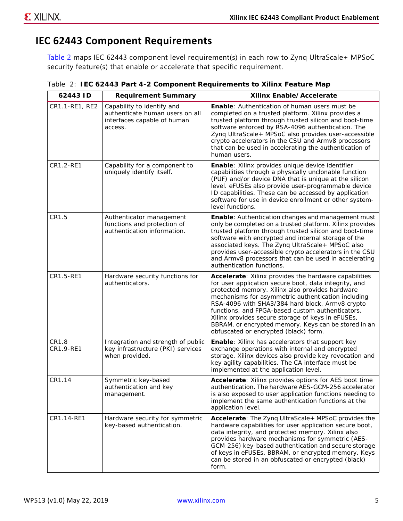#### **IEC 62443 Component Requirements**

[Table 2](#page-4-0) maps IEC 62443 component level requirement(s) in each row to Zynq UltraScale+ MPSoC security feature(s) that enable or accelerate that specific requirement.

| 62443 ID           | <b>Requirement Summary</b>                                                                              | Xilinx Enable/Accelerate                                                                                                                                                                                                                                                                                                                                                                                                                                                             |
|--------------------|---------------------------------------------------------------------------------------------------------|--------------------------------------------------------------------------------------------------------------------------------------------------------------------------------------------------------------------------------------------------------------------------------------------------------------------------------------------------------------------------------------------------------------------------------------------------------------------------------------|
| CR1.1-RE1, RE2     | Capability to identify and<br>authenticate human users on all<br>interfaces capable of human<br>access. | <b>Enable:</b> Authentication of human users must be<br>completed on a trusted platform. Xilinx provides a<br>trusted platform through trusted silicon and boot-time<br>software enforced by RSA-4096 authentication. The<br>Zyng UltraScale+ MPSoC also provides user-accessible<br>crypto accelerators in the CSU and Armv8 processors<br>that can be used in accelerating the authentication of<br>human users.                                                                   |
| CR1.2-RE1          | Capability for a component to<br>uniquely identify itself.                                              | Enable: Xilinx provides unique device identifier<br>capabilities through a physically unclonable function<br>(PUF) and/or device DNA that is unique at the silicon<br>level. eFUSEs also provide user-programmable device<br>ID capabilities. These can be accessed by application<br>software for use in device enrollment or other system-<br>level functions.                                                                                                                     |
| CR1.5              | Authenticator management<br>functions and protection of<br>authentication information.                  | <b>Enable:</b> Authentication changes and management must<br>only be completed on a trusted platform. Xilinx provides<br>trusted platform through trusted silicon and boot-time<br>software with encrypted and internal storage of the<br>associated keys. The Zynq UltraScale+ MPSoC also<br>provides user-accessible crypto accelerators in the CSU<br>and Armv8 processors that can be used in accelerating<br>authentication functions.                                          |
| CR1.5-RE1          | Hardware security functions for<br>authenticators.                                                      | Accelerate: Xilinx provides the hardware capabilities<br>for user application secure boot, data integrity, and<br>protected memory. Xilinx also provides hardware<br>mechanisms for asymmetric authentication including<br>RSA-4096 with SHA3/384 hard block, Armv8 crypto<br>functions, and FPGA-based custom authenticators.<br>Xilinx provides secure storage of keys in eFUSEs,<br>BBRAM, or encrypted memory. Keys can be stored in an<br>obfuscated or encrypted (black) form. |
| CR1.8<br>CR1.9-RE1 | Integration and strength of public<br>key infrastructure (PKI) services<br>when provided.               | <b>Enable:</b> Xilinx has accelerators that support key<br>exchange operations with internal and encrypted<br>storage. Xilinx devices also provide key revocation and<br>key agility capabilities. The CA interface must be<br>implemented at the application level.                                                                                                                                                                                                                 |
| CR1.14             | Symmetric key-based<br>authentication and key<br>management.                                            | Accelerate: Xilinx provides options for AES boot time<br>authentication. The hardware AES-GCM-256 accelerator<br>is also exposed to user application functions needing to<br>implement the same authentication functions at the<br>application level.                                                                                                                                                                                                                                |
| CR1.14-RE1         | Hardware security for symmetric<br>key-based authentication.                                            | Accelerate: The Zynq UltraScale+ MPSoC provides the<br>hardware capabilities for user application secure boot,<br>data integrity, and protected memory. Xilinx also<br>provides hardware mechanisms for symmetric (AES-<br>GCM-256) key-based authentication and secure storage<br>of keys in eFUSEs, BBRAM, or encrypted memory. Keys<br>can be stored in an obfuscated or encrypted (black)<br>form.                                                                               |

<span id="page-4-0"></span>*Table 2:* **IEC 62443 Part 4-2 Component Requirements to Xilinx Feature Map**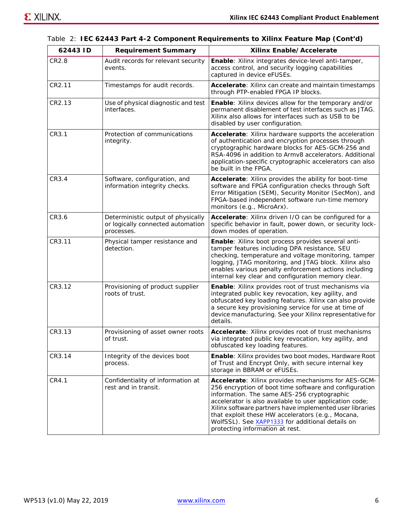| 62443 ID | <b>Requirement Summary</b>                                                                                                                                                                                                                                                                                                                                    | Xilinx Enable/Accelerate                                                                                                                                                                                                                                                                                                                                                                                                        |  |
|----------|---------------------------------------------------------------------------------------------------------------------------------------------------------------------------------------------------------------------------------------------------------------------------------------------------------------------------------------------------------------|---------------------------------------------------------------------------------------------------------------------------------------------------------------------------------------------------------------------------------------------------------------------------------------------------------------------------------------------------------------------------------------------------------------------------------|--|
| CR2.8    | Audit records for relevant security<br>events.                                                                                                                                                                                                                                                                                                                | Enable: Xilinx integrates device-level anti-tamper,<br>access control, and security logging capabilities<br>captured in device eFUSEs.                                                                                                                                                                                                                                                                                          |  |
| CR2.11   | Timestamps for audit records.                                                                                                                                                                                                                                                                                                                                 | Accelerate: Xilinx can create and maintain timestamps<br>through PTP-enabled FPGA IP blocks.                                                                                                                                                                                                                                                                                                                                    |  |
| CR2.13   | Use of physical diagnostic and test<br>interfaces.                                                                                                                                                                                                                                                                                                            | <b>Enable:</b> Xilinx devices allow for the temporary and/or<br>permanent disablement of test interfaces such as JTAG.<br>Xilinx also allows for interfaces such as USB to be<br>disabled by user configuration.                                                                                                                                                                                                                |  |
| CR3.1    | Protection of communications<br>Accelerate: Xilinx hardware supports the acceleration<br>of authentication and encryption processes through<br>integrity.<br>cryptographic hardware blocks for AES-GCM-256 and<br>RSA-4096 in addition to Armv8 accelerators. Additional<br>application-specific cryptographic accelerators can also<br>be built in the FPGA. |                                                                                                                                                                                                                                                                                                                                                                                                                                 |  |
| CR3.4    | Software, configuration, and<br>Accelerate: Xilinx provides the ability for boot-time<br>information integrity checks.<br>software and FPGA configuration checks through Soft<br>Error Mitigation (SEM), Security Monitor (SecMon), and<br>FPGA-based independent software run-time memory<br>monitors (e.g., MicroArx).                                      |                                                                                                                                                                                                                                                                                                                                                                                                                                 |  |
| CR3.6    | Deterministic output of physically<br>or logically connected automation<br>processes.                                                                                                                                                                                                                                                                         | Accelerate: Xilinx driven I/O can be configured for a<br>specific behavior in fault, power down, or security lock-<br>down modes of operation.                                                                                                                                                                                                                                                                                  |  |
| CR3.11   | Physical tamper resistance and<br>detection.                                                                                                                                                                                                                                                                                                                  | Enable: Xilinx boot process provides several anti-<br>tamper features including DPA resistance, SEU<br>checking, temperature and voltage monitoring, tamper<br>logging, JTAG monitoring, and JTAG block. Xilinx also<br>enables various penalty enforcement actions including<br>internal key clear and configuration memory clear.                                                                                             |  |
| CR3.12   | Provisioning of product supplier<br>roots of trust.                                                                                                                                                                                                                                                                                                           | Enable: Xilinx provides root of trust mechanisms via<br>integrated public key revocation, key agility, and<br>obfuscated key loading features. Xilinx can also provide<br>a secure key provisioning service for use at time of<br>device manufacturing. See your Xilinx representative for<br>details.                                                                                                                          |  |
| CR3.13   | Provisioning of asset owner roots<br>of trust.                                                                                                                                                                                                                                                                                                                | Accelerate: Xilinx provides root of trust mechanisms<br>via integrated public key revocation, key agility, and<br>obfuscated key loading features.                                                                                                                                                                                                                                                                              |  |
| CR3.14   | Integrity of the devices boot<br>process.                                                                                                                                                                                                                                                                                                                     | Enable: Xilinx provides two boot modes, Hardware Root<br>of Trust and Encrypt Only, with secure internal key<br>storage in BBRAM or eFUSEs.                                                                                                                                                                                                                                                                                     |  |
| CR4.1    | Confidentiality of information at<br>rest and in transit.                                                                                                                                                                                                                                                                                                     | Accelerate: Xilinx provides mechanisms for AES-GCM-<br>256 encryption of boot time software and configuration<br>information. The same AES-256 cryptographic<br>accelerator is also available to user application code;<br>Xilinx software partners have implemented user libraries<br>that exploit these HW accelerators (e.g., Mocana,<br>WolfSSL). See XAPP1333 for additional details on<br>protecting information at rest. |  |

*Table 2:* **IEC 62443 Part 4-2 Component Requirements to Xilinx Feature Map** *(Cont'd)*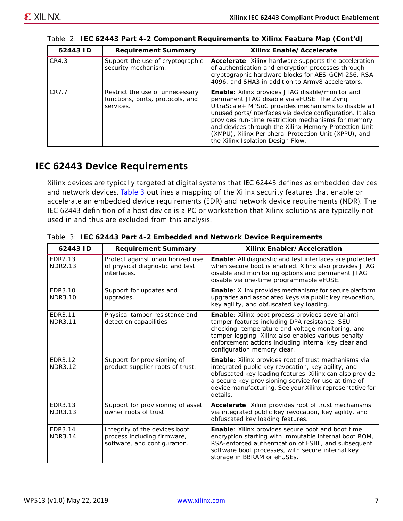| 62443 ID | <b>Requirement Summary</b>                                                       | Xilinx Enable/Accelerate                                                                                                                                                                                                                                                                                                                                                                                                                 |
|----------|----------------------------------------------------------------------------------|------------------------------------------------------------------------------------------------------------------------------------------------------------------------------------------------------------------------------------------------------------------------------------------------------------------------------------------------------------------------------------------------------------------------------------------|
| CR4.3    | Support the use of cryptographic<br>security mechanism.                          | <b>Accelerate:</b> Xilinx hardware supports the acceleration<br>of authentication and encryption processes through<br>cryptographic hardware blocks for AES-GCM-256, RSA-<br>4096, and SHA3 in addition to Army8 accelerators.                                                                                                                                                                                                           |
| CR7.7    | Restrict the use of unnecessary<br>functions, ports, protocols, and<br>services. | <b>Enable:</b> Xilinx provides JTAG disable/monitor and<br>permanent JTAG disable via eFUSE. The Zynq<br>UltraScale+ MPSoC provides mechanisms to disable all<br>unused ports/interfaces via device configuration. It also<br>provides run-time restriction mechanisms for memory<br>and devices through the Xilinx Memory Protection Unit<br>(XMPU), Xilinx Peripheral Protection Unit (XPPU), and<br>the Xilinx Isolation Design Flow. |

*Table 2:* **IEC 62443 Part 4-2 Component Requirements to Xilinx Feature Map** *(Cont'd)*

#### **IEC 62443 Device Requirements**

Xilinx devices are typically targeted at digital systems that IEC 62443 defines as embedded devices and network devices. [Table 3](#page-6-0) outlines a mapping of the Xilinx security features that enable or accelerate an embedded device requirements (EDR) and network device requirements (NDR). The IEC 62443 definition of a host device is a PC or workstation that Xilinx solutions are typically not used in and thus are excluded from this analysis.

| 62443 ID                  | <b>Requirement Summary</b>                                                                   | Xilinx Enabler/Acceleration                                                                                                                                                                                                                                                                            |
|---------------------------|----------------------------------------------------------------------------------------------|--------------------------------------------------------------------------------------------------------------------------------------------------------------------------------------------------------------------------------------------------------------------------------------------------------|
| EDR2.13<br>NDR2.13        | Protect against unauthorized use<br>of physical diagnostic and test<br>interfaces.           | <b>Enable:</b> All diagnostic and test interfaces are protected<br>when secure boot is enabled. Xilinx also provides JTAG<br>disable and monitoring options and permanent JTAG<br>disable via one-time programmable eFUSE.                                                                             |
| EDR3.10<br><b>NDR3.10</b> | Support for updates and<br>upgrades.                                                         | <b>Enable:</b> Xilinx provides mechanisms for secure platform<br>upgrades and associated keys via public key revocation,<br>key agility, and obfuscated key loading.                                                                                                                                   |
| EDR3.11<br><b>NDR3.11</b> | Physical tamper resistance and<br>detection capabilities.                                    | Enable: Xilinx boot process provides several anti-<br>tamper features including DPA resistance, SEU<br>checking, temperature and voltage monitoring, and<br>tamper logging. Xilinx also enables various penalty<br>enforcement actions including internal key clear and<br>configuration memory clear. |
| EDR3.12<br><b>NDR3.12</b> | Support for provisioning of<br>product supplier roots of trust.                              | Enable: Xilinx provides root of trust mechanisms via<br>integrated public key revocation, key agility, and<br>obfuscated key loading features. Xilinx can also provide<br>a secure key provisioning service for use at time of<br>device manufacturing. See your Xilinx representative for<br>details. |
| EDR3.13<br><b>NDR3.13</b> | Support for provisioning of asset<br>owner roots of trust.                                   | Accelerate: Xilinx provides root of trust mechanisms<br>via integrated public key revocation, key agility, and<br>obfuscated key loading features.                                                                                                                                                     |
| EDR3.14<br><b>NDR3.14</b> | Integrity of the devices boot<br>process including firmware,<br>software, and configuration. | Enable: Xilinx provides secure boot and boot time<br>encryption starting with immutable internal boot ROM,<br>RSA-enforced authentication of FSBL, and subsequent<br>software boot processes, with secure internal key<br>storage in BBRAM or eFUSEs.                                                  |

<span id="page-6-0"></span>*Table 3:* **IEC 62443 Part 4-2 Embedded and Network Device Requirements**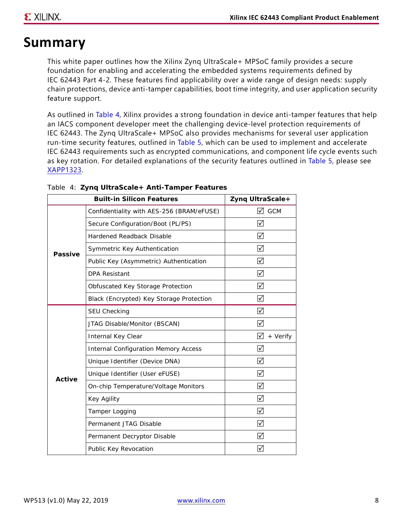## **Summary**

This white paper outlines how the Xilinx Zynq UltraScale+ MPSoC family provides a secure foundation for enabling and accelerating the embedded systems requirements defined by IEC 62443 Part 4-2. These features find applicability over a wide range of design needs: supply chain protections, device anti-tamper capabilities, boot time integrity, and user application security feature support.

As outlined in [Table 4,](#page-7-0) Xilinx provides a strong foundation in device anti-tamper features that help an IACS component developer meet the challenging device-level protection requirements of IEC 62443. The Zynq UltraScale+ MPSoC also provides mechanisms for several user application run-time security features, outlined in [Table 5](#page-8-0), which can be used to implement and accelerate IEC 62443 requirements such as encrypted communications, and component life cycle events such as key rotation. For detailed explanations of the security features outlined in [Table 5,](#page-8-0) please see [XAPP1323](https://www.xilinx.com/support/documentation/application_notes/xapp1323-zynq-usp-tamper-resistant-designs.pdf).

|                | <b>Built-in Silicon Features</b>            | Zyng UltraScale+ |
|----------------|---------------------------------------------|------------------|
|                | Confidentiality with AES-256 (BRAM/eFUSE)   | ⊠ ссм            |
|                | Secure Configuration/Boot (PL/PS)           | ⊠                |
|                | Hardened Readback Disable                   | ☑                |
| <b>Passive</b> | Symmetric Key Authentication                | ☑                |
|                | Public Key (Asymmetric) Authentication      | ☑                |
|                | <b>DPA Resistant</b>                        | ☑                |
|                | Obfuscated Key Storage Protection           | ☑                |
|                | Black (Encrypted) Key Storage Protection    | ☑                |
|                | SEU Checking                                | ☑                |
|                | JTAG Disable/Monitor (BSCAN)                | ☑                |
|                | Internal Key Clear                          | M<br>+ Verify    |
|                | <b>Internal Configuration Memory Access</b> | ☑                |
|                | Unique Identifier (Device DNA)              | ☑                |
| Active         | Unique Identifier (User eFUSE)              | ☑                |
|                | On-chip Temperature/Voltage Monitors        | ☑                |
|                | Key Agility                                 | ☑                |
|                | Tamper Logging                              | ☑                |
|                | Permanent JTAG Disable                      | ☑                |
|                | Permanent Decryptor Disable                 | ☑                |
|                | Public Key Revocation                       | ∣√               |

#### <span id="page-7-0"></span>*Table 4:* **Zynq UltraScale+ Anti-Tamper Features**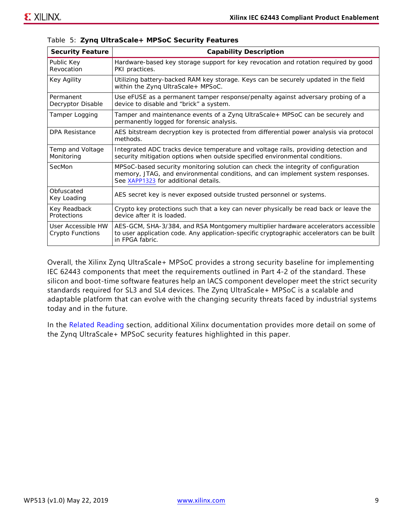| <b>Security Feature</b>                | <b>Capability Description</b>                                                                                                                                                                                |
|----------------------------------------|--------------------------------------------------------------------------------------------------------------------------------------------------------------------------------------------------------------|
| Public Key<br>Revocation               | Hardware-based key storage support for key revocation and rotation required by good<br>PKI practices.                                                                                                        |
| Key Agility                            | Utilizing battery-backed RAM key storage. Keys can be securely updated in the field<br>within the Zyng UltraScale+ MPSoC.                                                                                    |
| Permanent<br>Decryptor Disable         | Use eFUSE as a permanent tamper response/penalty against adversary probing of a<br>device to disable and "brick" a system.                                                                                   |
| Tamper Logging                         | Tamper and maintenance events of a Zynq UltraScale+ MPSoC can be securely and<br>permanently logged for forensic analysis.                                                                                   |
| <b>DPA Resistance</b>                  | AES bitstream decryption key is protected from differential power analysis via protocol<br>methods.                                                                                                          |
| Temp and Voltage<br>Monitoring         | Integrated ADC tracks device temperature and voltage rails, providing detection and<br>security mitigation options when outside specified environmental conditions.                                          |
| SecMon                                 | MPSoC-based security monitoring solution can check the integrity of configuration<br>memory, JTAG, and environmental conditions, and can implement system responses.<br>See XAPP1323 for additional details. |
| Obfuscated<br>Key Loading              | AES secret key is never exposed outside trusted personnel or systems.                                                                                                                                        |
| Key Readback<br>Protections            | Crypto key protections such that a key can never physically be read back or leave the<br>device after it is loaded.                                                                                          |
| User Accessible HW<br>Crypto Functions | AES-GCM, SHA-3/384, and RSA Montgomery multiplier hardware accelerators accessible<br>to user application code. Any application-specific cryptographic accelerators can be built<br>in FPGA fabric.          |

<span id="page-8-0"></span>

|  |  |  | Table 5: Zynq UltraScale+ MPSoC Security Features |  |  |  |
|--|--|--|---------------------------------------------------|--|--|--|
|--|--|--|---------------------------------------------------|--|--|--|

Overall, the Xilinx Zynq UltraScale+ MPSoC provides a strong security baseline for implementing IEC 62443 components that meet the requirements outlined in Part 4-2 of the standard. These silicon and boot-time software features help an IACS component developer meet the strict security standards required for SL3 and SL4 devices. The Zynq UltraScale+ MPSoC is a scalable and adaptable platform that can evolve with the changing security threats faced by industrial systems today and in the future.

In the [Related Reading](#page-9-0) section, additional Xilinx documentation provides more detail on some of the Zynq UltraScale+ MPSoC security features highlighted in this paper.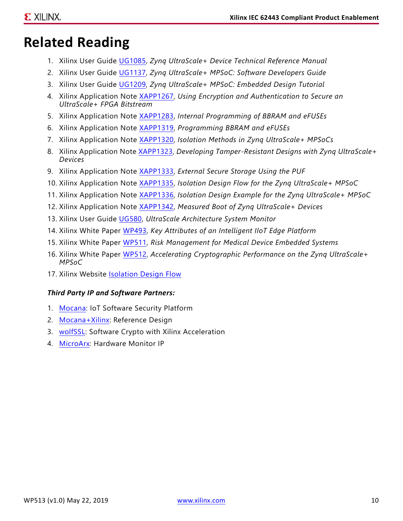# <span id="page-9-0"></span>**Related Reading**

- 1. Xilinx User Guide [UG1085,](https://www.xilinx.com/support/documentation/user_guides/ug1085-zynq-ultrascale-trm.pdf) *Zynq UltraScale+ Device Technical Reference Manual*
- 2. Xilinx User Guide [UG1137,](https://www.xilinx.com/support/documentation/user_guides/ug1137-zynq-ultrascale-mpsoc-swdev.pdf) *Zynq UltraScale+ MPSoC: Software Developers Guide*
- 3. Xilinx User Guide [UG1209,](https://www.xilinx.com/support/documentation/sw_manuals/xilinx2018_3/ug1209-embedded-design-tutorial.pdf) *Zynq UltraScale+ MPSoC: Embedded Design Tutorial*
- 4. Xilinx Application Note [XAPP1267](https://www.xilinx.com/support/documentation/application_notes/xapp1267-encryp-efuse-program.pdf), *Using Encryption and Authentication to Secure an UltraScale+ FPGA Bitstream*
- 5. Xilinx Application Note [XAPP1283](https://www.xilinx.com/support/documentation/application_notes/xapp1283-internalprogramming-bbram-efuses.pdf), *Internal Programming of BBRAM and eFUSEs*
- 6. Xilinx Application Note [XAPP1319](https://www.xilinx.com/support/documentation/application_notes/xapp1319-zynq-usp-prog-nvm.pdf), *Programming BBRAM and eFUSEs*
- 7. Xilinx Application Note [XAPP1320](https://www.xilinx.com/support/documentation/application_notes/xapp1320-isolation-methods.pdf), *Isolation Methods in Zynq UltraScale+ MPSoCs*
- 8. Xilinx Application Note [XAPP1323,](https://www.xilinx.com/support/documentation/application_notes/xapp1323-zynq-usp-tamper-resistant-designs.pdf) *Developing Tamper-Resistant Designs with Zynq UltraScale+ Devices*
- 9. Xilinx Application Note [XAPP1333](https://www.xilinx.com/support/documentation/application_notes/xapp1333-external-storage-puf.pdf), *External Secure Storage Using the PUF*
- 10. Xilinx Application Note [XAPP1335](https://www.xilinx.com/support/documentation/application_notes/xapp1335-isolation-design-flow-mpsoc.pdf), *Isolation Design Flow for the Zynq UltraScale+ MPSoC*
- 11. Xilinx Application Note [XAPP1336](https://www.xilinx.com/member/forms/download/design-license.html?cid=f2124762-67d8-45bf-853d-dca7df1eb58b&filename=xapp1336-isolation-design-flow-example-mpsoc.pdf), *Isolation Design Example for the Zynq UltraScale+ MPSoC*
- 12. Xilinx Application Note [XAPP1342](https://www.xilinx.com/support/documentation/application_notes/xapp1342-measured-boot.pdf), *Measured Boot of Zynq UltraScale+ Devices*
- 13. Xilinx User Guide [UG580,](https://www.xilinx.com/support/documentation/user_guides/ug580-ultrascale-sysmon.pdf) *UltraScale Architecture System Monitor*
- 14. Xilinx White Paper [WP493,](https://www.xilinx.com/support/documentation/white_papers/wp493-iiot-edge-platforms.pdf) *Key Attributes of an Intelligent IIoT Edge Platform*
- 15. Xilinx White Paper [WP511,](https://www.xilinx.com/support/documentation/white_papers/wp511-risk-mgmt.pdf) *Risk Management for Medical Device Embedded Systems*
- 16. Xilinx White Paper [WP512,](https://www.xilinx.com/support/documentation/white_papers/wp512-accel-crypto.pdf) *Accelerating Cryptographic Performance on the Zynq UltraScale+ MPSoC*
- 17. Xilinx Website [Isolation Design Flow](https://www.xilinx.com/applications/isolation-design-flow.html)

#### *Third Party IP and Software Partners:*

- 1. [Mocana:](https://www.mocana.com/technology) IoT Software Security Platform
- 2. [Mocana+Xilinx](https://www.mocana.com/news/mocana-xilinx-avnet-infineon-and-microsoft-join-to-secure-iiot-devices-2): Reference Design
- 3. [wolfSSL:](https://www.wolfssl.com/wolfssl-xilinx-support/) Software Crypto with Xilinx Acceleration
- 4. [MicroArx](https://www.microarx.com/): Hardware Monitor IP